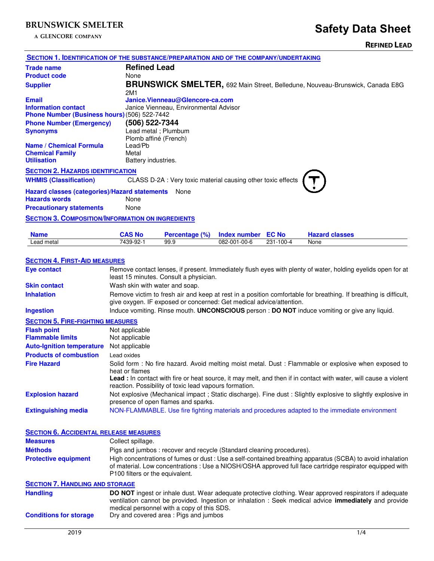**A GLENCORE COMPANY**

|                                                                                       |                                                                                                                                                                                        |                                                              |                     |              |                                                                                                                                                                                                                         | <b>KEFINED LEAD</b> |
|---------------------------------------------------------------------------------------|----------------------------------------------------------------------------------------------------------------------------------------------------------------------------------------|--------------------------------------------------------------|---------------------|--------------|-------------------------------------------------------------------------------------------------------------------------------------------------------------------------------------------------------------------------|---------------------|
| SECTION 1. IDENTIFICATION OF THE SUBSTANCE/PREPARATION AND OF THE COMPANY/UNDERTAKING |                                                                                                                                                                                        |                                                              |                     |              |                                                                                                                                                                                                                         |                     |
| <b>Trade name</b>                                                                     | <b>Refined Lead</b>                                                                                                                                                                    |                                                              |                     |              |                                                                                                                                                                                                                         |                     |
| <b>Product code</b>                                                                   | None                                                                                                                                                                                   |                                                              |                     |              |                                                                                                                                                                                                                         |                     |
| <b>Supplier</b>                                                                       | 2M1                                                                                                                                                                                    |                                                              |                     |              | <b>BRUNSWICK SMELTER, 692 Main Street, Belledune, Nouveau-Brunswick, Canada E8G</b>                                                                                                                                     |                     |
| <b>Email</b>                                                                          |                                                                                                                                                                                        | Janice.Vienneau@Glencore-ca.com                              |                     |              |                                                                                                                                                                                                                         |                     |
| <b>Information contact</b><br>Phone Number (Business hours) (506) 522-7442            |                                                                                                                                                                                        | Janice Vienneau, Environmental Advisor                       |                     |              |                                                                                                                                                                                                                         |                     |
| <b>Phone Number (Emergency)</b><br><b>Synonyms</b>                                    | (506) 522-7344                                                                                                                                                                         | Lead metal; Plumbum                                          |                     |              |                                                                                                                                                                                                                         |                     |
| <b>Name / Chemical Formula</b><br><b>Chemical Family</b><br><b>Utilisation</b>        | Plomb affiné (French)<br>Lead/Pb<br>Metal<br>Battery industries.                                                                                                                       |                                                              |                     |              |                                                                                                                                                                                                                         |                     |
| <b>SECTION 2. HAZARDS IDENTIFICATION</b>                                              |                                                                                                                                                                                        |                                                              |                     |              |                                                                                                                                                                                                                         |                     |
| <b>WHMIS (Classification)</b>                                                         |                                                                                                                                                                                        | CLASS D-2A : Very toxic material causing other toxic effects |                     |              |                                                                                                                                                                                                                         |                     |
| Hazard classes (categories)/Hazard statements None<br><b>Hazards words</b>            | None                                                                                                                                                                                   |                                                              |                     |              |                                                                                                                                                                                                                         |                     |
| <b>Precautionary statements</b>                                                       | None                                                                                                                                                                                   |                                                              |                     |              |                                                                                                                                                                                                                         |                     |
| <b>SECTION 3. COMPOSITION/INFORMATION ON INGREDIENTS</b>                              |                                                                                                                                                                                        |                                                              |                     |              |                                                                                                                                                                                                                         |                     |
| <b>Name</b>                                                                           | <b>CAS No</b>                                                                                                                                                                          | Percentage (%)                                               | <b>Index number</b> | <b>EC No</b> | <b>Hazard classes</b>                                                                                                                                                                                                   |                     |
| Lead metal                                                                            | 7439-92-1                                                                                                                                                                              | 99.9                                                         | 082-001-00-6        | 231-100-4    | None                                                                                                                                                                                                                    |                     |
| <b>SECTION 4. FIRST-AID MEASURES</b>                                                  |                                                                                                                                                                                        |                                                              |                     |              |                                                                                                                                                                                                                         |                     |
| <b>Eye contact</b>                                                                    |                                                                                                                                                                                        | least 15 minutes. Consult a physician.                       |                     |              | Remove contact lenses, if present. Immediately flush eyes with plenty of water, holding eyelids open for at                                                                                                             |                     |
| <b>Skin contact</b>                                                                   | Wash skin with water and soap.                                                                                                                                                         |                                                              |                     |              |                                                                                                                                                                                                                         |                     |
| <b>Inhalation</b>                                                                     | Remove victim to fresh air and keep at rest in a position comfortable for breathing. If breathing is difficult,<br>give oxygen. IF exposed or concerned: Get medical advice/attention. |                                                              |                     |              |                                                                                                                                                                                                                         |                     |
| <b>Ingestion</b>                                                                      |                                                                                                                                                                                        |                                                              |                     |              | Induce vomiting. Rinse mouth. UNCONSCIOUS person : DO NOT induce vomiting or give any liquid.                                                                                                                           |                     |
| <b>SECTION 5. FIRE-FIGHTING MEASURES</b>                                              |                                                                                                                                                                                        |                                                              |                     |              |                                                                                                                                                                                                                         |                     |
| <b>Flash point</b>                                                                    | Not applicable                                                                                                                                                                         |                                                              |                     |              |                                                                                                                                                                                                                         |                     |
| <b>Flammable limits</b>                                                               | Not applicable                                                                                                                                                                         |                                                              |                     |              |                                                                                                                                                                                                                         |                     |
| <b>Auto-Ignition temperature</b>                                                      | Not applicable                                                                                                                                                                         |                                                              |                     |              |                                                                                                                                                                                                                         |                     |
| <b>Products of combustion</b>                                                         | Lead oxides                                                                                                                                                                            |                                                              |                     |              |                                                                                                                                                                                                                         |                     |
| <b>Fire Hazard</b>                                                                    | heat or flames                                                                                                                                                                         | reaction. Possibility of toxic lead vapours formation.       |                     |              | Solid form: No fire hazard. Avoid melting moist metal. Dust: Flammable or explosive when exposed to<br>Lead : In contact with fire or heat source, it may melt, and then if in contact with water, will cause a violent |                     |
| <b>Explosion hazard</b>                                                               |                                                                                                                                                                                        | presence of open flames and sparks.                          |                     |              | Not explosive (Mechanical impact; Static discharge). Fine dust: Slightly explosive to slightly explosive in                                                                                                             |                     |
| <b>Extinguishing media</b>                                                            |                                                                                                                                                                                        |                                                              |                     |              | NON-FLAMMABLE. Use fire fighting materials and procedures adapted to the immediate environment                                                                                                                          |                     |

| <b>SECTION 6. ACCIDENTAL RELEASE MEASURES</b> |                                                                                                                                                                                                                                                                      |
|-----------------------------------------------|----------------------------------------------------------------------------------------------------------------------------------------------------------------------------------------------------------------------------------------------------------------------|
| <b>Measures</b>                               | Collect spillage.                                                                                                                                                                                                                                                    |
| <b>Méthods</b>                                | Pigs and jumbos: recover and recycle (Standard cleaning procedures).                                                                                                                                                                                                 |
| <b>Protective equipment</b>                   | High concentrations of fumes or dust : Use a self-contained breathing apparatus (SCBA) to avoid inhalation<br>of material. Low concentrations : Use a NIOSH/OSHA approved full face cartridge respirator equipped with<br>P100 filters or the equivalent.            |
| <b>SECTION 7. HANDLING AND STORAGE</b>        |                                                                                                                                                                                                                                                                      |
| <b>Handling</b>                               | <b>DO NOT</b> ingest or inhale dust. Wear adequate protective clothing. Wear approved respirators if adequate<br>ventilation cannot be provided. Ingestion or inhalation : Seek medical advice immediately and provide<br>medical personnel with a copy of this SDS. |
| <b>Conditions for storage</b>                 | Dry and covered area: Pigs and jumbos                                                                                                                                                                                                                                |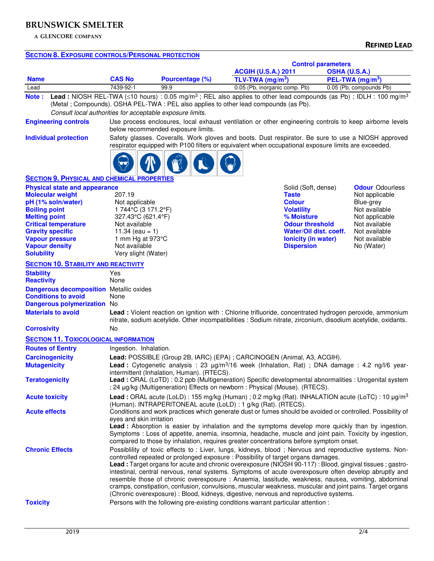**A GLENCORE COMPANY**

## **SECTION 8. EXPOSURE CONTROLS/PERSONAL PROTECTION**

|                                                                   |                                                                                                                                                                                                                                                                                                               |                                                                                                                                                                                                                                                                                                                                                                                                                                                                                                                                                                                                                                                                                                                                                                                                                     |                                                                                                                                                                                                                          | <b>Control parameters</b><br><b>ACGIH (U.S.A.) 2011</b><br>OSHA (U.S.A.) |                                                                                                                                                                                                |                                                                                                                                                           |  |
|-------------------------------------------------------------------|---------------------------------------------------------------------------------------------------------------------------------------------------------------------------------------------------------------------------------------------------------------------------------------------------------------|---------------------------------------------------------------------------------------------------------------------------------------------------------------------------------------------------------------------------------------------------------------------------------------------------------------------------------------------------------------------------------------------------------------------------------------------------------------------------------------------------------------------------------------------------------------------------------------------------------------------------------------------------------------------------------------------------------------------------------------------------------------------------------------------------------------------|--------------------------------------------------------------------------------------------------------------------------------------------------------------------------------------------------------------------------|--------------------------------------------------------------------------|------------------------------------------------------------------------------------------------------------------------------------------------------------------------------------------------|-----------------------------------------------------------------------------------------------------------------------------------------------------------|--|
| <b>Name</b>                                                       |                                                                                                                                                                                                                                                                                                               | <b>CAS No</b>                                                                                                                                                                                                                                                                                                                                                                                                                                                                                                                                                                                                                                                                                                                                                                                                       | Pourcentage (%)                                                                                                                                                                                                          | TLV-TWA ( $mg/m3$ )                                                      |                                                                                                                                                                                                | PEL-TWA (mg/m <sup>3</sup> )                                                                                                                              |  |
| Lead                                                              |                                                                                                                                                                                                                                                                                                               | 7439-92-1                                                                                                                                                                                                                                                                                                                                                                                                                                                                                                                                                                                                                                                                                                                                                                                                           | 99.9                                                                                                                                                                                                                     | 0.05 (Pb, inorganic comp. Pb)                                            |                                                                                                                                                                                                | 0.05 (Pb, compounds Pb)                                                                                                                                   |  |
| Note:                                                             | <b>Lead</b> : NIOSH REL-TWA ( $\leq$ 10 hours) : 0.05 mg/m <sup>3</sup> ; REL also applies to other lead compounds (as Pb); IDLH: 100 mg/m <sup>3</sup><br>(Metal ; Compounds). OSHA PEL-TWA : PEL also applies to other lead compounds (as Pb).<br>Consult local authorities for acceptable exposure limits. |                                                                                                                                                                                                                                                                                                                                                                                                                                                                                                                                                                                                                                                                                                                                                                                                                     |                                                                                                                                                                                                                          |                                                                          |                                                                                                                                                                                                |                                                                                                                                                           |  |
|                                                                   | <b>Engineering controls</b>                                                                                                                                                                                                                                                                                   |                                                                                                                                                                                                                                                                                                                                                                                                                                                                                                                                                                                                                                                                                                                                                                                                                     | Use process enclosures, local exhaust ventilation or other engineering controls to keep airborne levels<br>below recommended exposure limits.                                                                            |                                                                          |                                                                                                                                                                                                |                                                                                                                                                           |  |
|                                                                   | <b>Individual protection</b>                                                                                                                                                                                                                                                                                  | Safety glasses. Coveralls. Work gloves and boots. Dust respirator. Be sure to use a NIOSH approved<br>respirator equipped with P100 filters or equivalent when occupational exposure limits are exceeded.                                                                                                                                                                                                                                                                                                                                                                                                                                                                                                                                                                                                           |                                                                                                                                                                                                                          |                                                                          |                                                                                                                                                                                                |                                                                                                                                                           |  |
|                                                                   | <b>SECTION 9. PHYSICAL AND CHEMICAL PROPERTIES</b>                                                                                                                                                                                                                                                            |                                                                                                                                                                                                                                                                                                                                                                                                                                                                                                                                                                                                                                                                                                                                                                                                                     |                                                                                                                                                                                                                          |                                                                          |                                                                                                                                                                                                |                                                                                                                                                           |  |
| <b>Boiling point</b><br><b>Melting point</b><br><b>Solubility</b> | <b>Physical state and appearance</b><br><b>Molecular weight</b><br>pH (1% soln/water)<br><b>Critical temperature</b><br><b>Gravity specific</b><br><b>Vapour pressure</b><br><b>Vapour density</b>                                                                                                            | 207.19<br>Not applicable<br>1744°C (3171.2°F)<br>327.43°C (621.4°F)<br>Not available<br>11.34 (eau = 1)<br>1 mm Hg at $973^{\circ}$ C<br>Not available<br>Very slight (Water)                                                                                                                                                                                                                                                                                                                                                                                                                                                                                                                                                                                                                                       |                                                                                                                                                                                                                          |                                                                          | Solid (Soft, dense)<br><b>Taste</b><br><b>Colour</b><br><b>Volatility</b><br>% Moisture<br><b>Odour threshold</b><br>Water/Oil dist. coeff.<br><b>lonicity (in water)</b><br><b>Dispersion</b> | <b>Odour Odourless</b><br>Not applicable<br>Blue-grey<br>Not available<br>Not applicable<br>Not available<br>Not available<br>Not available<br>No (Water) |  |
|                                                                   | <b>SECTION 10. STABILITY AND REACTIVITY</b>                                                                                                                                                                                                                                                                   |                                                                                                                                                                                                                                                                                                                                                                                                                                                                                                                                                                                                                                                                                                                                                                                                                     |                                                                                                                                                                                                                          |                                                                          |                                                                                                                                                                                                |                                                                                                                                                           |  |
| <b>Stability</b><br><b>Reactivity</b>                             | <b>Dangerous decomposition</b> Metallic oxides<br><b>Conditions to avoid</b><br>Dangerous polymerization No<br><b>Materials to avoid</b>                                                                                                                                                                      | Yes<br>None<br>None                                                                                                                                                                                                                                                                                                                                                                                                                                                                                                                                                                                                                                                                                                                                                                                                 | Lead: Violent reaction on ignition with: Chlorine trifluoride, concentrated hydrogen peroxide, ammonium<br>nitrate, sodium acetylide. Other incompatibilities : Sodium nitrate, zirconium, disodium acetylide, oxidants. |                                                                          |                                                                                                                                                                                                |                                                                                                                                                           |  |
| <b>Corrosivity</b>                                                |                                                                                                                                                                                                                                                                                                               | No                                                                                                                                                                                                                                                                                                                                                                                                                                                                                                                                                                                                                                                                                                                                                                                                                  |                                                                                                                                                                                                                          |                                                                          |                                                                                                                                                                                                |                                                                                                                                                           |  |
|                                                                   | <b>SECTION 11. TOXICOLOGICAL INFORMATION</b>                                                                                                                                                                                                                                                                  |                                                                                                                                                                                                                                                                                                                                                                                                                                                                                                                                                                                                                                                                                                                                                                                                                     |                                                                                                                                                                                                                          |                                                                          |                                                                                                                                                                                                |                                                                                                                                                           |  |
|                                                                   | <b>Routes of Eentry</b>                                                                                                                                                                                                                                                                                       | Ingestion. Inhalation.                                                                                                                                                                                                                                                                                                                                                                                                                                                                                                                                                                                                                                                                                                                                                                                              |                                                                                                                                                                                                                          |                                                                          |                                                                                                                                                                                                |                                                                                                                                                           |  |
|                                                                   | <b>Carcinogenicity</b>                                                                                                                                                                                                                                                                                        |                                                                                                                                                                                                                                                                                                                                                                                                                                                                                                                                                                                                                                                                                                                                                                                                                     |                                                                                                                                                                                                                          |                                                                          |                                                                                                                                                                                                |                                                                                                                                                           |  |
| <b>Mutagenicity</b>                                               |                                                                                                                                                                                                                                                                                                               | Lead: POSSIBLE (Group 2B, IARC) (EPA) ; CARCINOGEN (Animal, A3, ACGIH).<br><b>Lead</b> : Cytogenetic analysis : 23 $\mu g/m^3/16$ week (Inhalation, Rat) ; DNA damage : 4.2 ng/l/6 year-                                                                                                                                                                                                                                                                                                                                                                                                                                                                                                                                                                                                                            |                                                                                                                                                                                                                          |                                                                          |                                                                                                                                                                                                |                                                                                                                                                           |  |
| <b>Teratogenicity</b>                                             |                                                                                                                                                                                                                                                                                                               | intermittent (Inhalation, Human). (RTECS).<br>Lead : ORAL (LoTD) : 0.2 ppb (Multigeneration) Specific developmental abnormalities : Urogenital system<br>; 24 µg/kg (Multigeneration) Effects on newborn : Physical (Mouse). (RTECS).                                                                                                                                                                                                                                                                                                                                                                                                                                                                                                                                                                               |                                                                                                                                                                                                                          |                                                                          |                                                                                                                                                                                                |                                                                                                                                                           |  |
| <b>Acute toxicity</b>                                             |                                                                                                                                                                                                                                                                                                               | Lead: ORAL acute (LoLD): 155 mg/kg (Human); 0.2 mg/kg (Rat). INHALATION acute (LoTC): 10 µg/m <sup>3</sup><br>(Human). INTRAPERITONEAL acute (LoLD) : 1 g/kg (Rat). (RTECS).                                                                                                                                                                                                                                                                                                                                                                                                                                                                                                                                                                                                                                        |                                                                                                                                                                                                                          |                                                                          |                                                                                                                                                                                                |                                                                                                                                                           |  |
| <b>Acute effects</b>                                              |                                                                                                                                                                                                                                                                                                               | Conditions and work practices which generate dust or fumes should be avoided or controlled. Possibility of<br>eyes and skin irritation<br>Lead: Absorption is easier by inhalation and the symptoms develop more quickly than by ingestion.<br>Symptoms : Loss of appetite, anemia, insomnia, headache, muscle and joint pain. Toxicity by ingestion,<br>compared to those by inhalation, requires greater concentrations before symptom onset.                                                                                                                                                                                                                                                                                                                                                                     |                                                                                                                                                                                                                          |                                                                          |                                                                                                                                                                                                |                                                                                                                                                           |  |
| <b>Toxicity</b>                                                   | <b>Chronic Effects</b>                                                                                                                                                                                                                                                                                        | Possiblility of toxic effects to : Liver, lungs, kidneys, blood ; Nervous and reproductive systems. Non-<br>controlled repeated or prolonged exposure : Possibility of target organs damages.<br>Lead: Target organs for acute and chronic overexposure (NIOSH 90-117) : Blood, gingival tissues ; gastro-<br>intestinal, central nervous, renal systems. Symptoms of acute overexposure often develop abruptly and<br>resemble those of chronic overexposure : Anaemia, lassitude, weakness, nausea, vomiting, abdominal<br>cramps, constipation, confusion, convulsions, muscular weakness, muscular and joint pains. Target organs<br>(Chronic overexposure) : Blood, kidneys, digestive, nervous and reproductive systems.<br>Persons with the following pre-existing conditions warrant particular attention : |                                                                                                                                                                                                                          |                                                                          |                                                                                                                                                                                                |                                                                                                                                                           |  |
|                                                                   |                                                                                                                                                                                                                                                                                                               |                                                                                                                                                                                                                                                                                                                                                                                                                                                                                                                                                                                                                                                                                                                                                                                                                     |                                                                                                                                                                                                                          |                                                                          |                                                                                                                                                                                                |                                                                                                                                                           |  |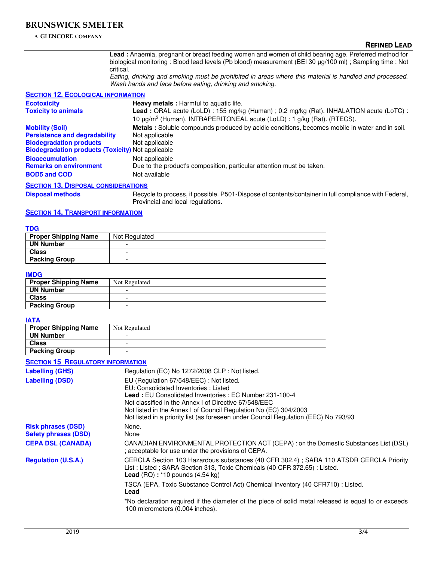**A GLENCORE COMPANY**

**Lead :** Anaemia, pregnant or breast feeding women and women of child bearing age. Preferred method for biological monitoring : Blood lead levels (Pb blood) measurement (BEI 30 μg/100 ml) ; Sampling time : Not critical.

Eating, drinking and smoking must be prohibited in areas where this material is handled and processed. Wash hands and face before eating, drinking and smoking.

### **SECTION 12. ECOLOGICAL INFORMATION**

| <b>Ecotoxicity</b>                                       | <b>Heavy metals:</b> Harmful to aquatic life.                                                 |  |  |  |
|----------------------------------------------------------|-----------------------------------------------------------------------------------------------|--|--|--|
| <b>Toxicity to animals</b>                               | Lead: ORAL acute (LoLD): 155 mg/kg (Human) ; 0.2 mg/kg (Rat). INHALATION acute (LoTC):        |  |  |  |
|                                                          | 10 μg/m <sup>3</sup> (Human). INTRAPERITONEAL acute (LoLD) : 1 g/kg (Rat). (RTECS).           |  |  |  |
| <b>Mobility (Soil)</b>                                   | Metals: Soluble compounds produced by acidic conditions, becomes mobile in water and in soil. |  |  |  |
| <b>Persistence and degradability</b>                     | Not applicable                                                                                |  |  |  |
| <b>Biodegradation products</b>                           | Not applicable                                                                                |  |  |  |
| <b>Biodegradation products (Toxicity)</b> Not applicable |                                                                                               |  |  |  |
| <b>Bioaccumulation</b>                                   | Not applicable                                                                                |  |  |  |
| <b>Remarks on environment</b>                            | Due to the product's composition, particular attention must be taken.                         |  |  |  |
| <b>BOD5 and COD</b>                                      | Not available                                                                                 |  |  |  |
| <b>SECTION 13 DISPOSAL CONSIDERATIONS</b>                |                                                                                               |  |  |  |

#### **SECTION 13. DISPOSAL CONSIDERATIONS**

**Disposal methods** Recycle to process, if possible. P501-Dispose of contents/container in full compliance with Federal, Provincial and local regulations.

#### **SECTION 14. TRANSPORT INFORMATION**

| <b>TDG</b>                  |               |
|-----------------------------|---------------|
| <b>Proper Shipping Name</b> | Not Regulated |
| <b>UN Number</b>            |               |
| <b>Class</b>                | -             |
| <b>Packing Group</b>        | -             |

#### **IMDG**

| <b>Proper Shipping Name</b> | Not Regulated |
|-----------------------------|---------------|
| <b>UN Number</b>            |               |
| <b>Class</b>                |               |
| <b>Packing Group</b>        |               |

#### **IATA**

| <b>Proper Shipping Name</b> | Not Regulated |
|-----------------------------|---------------|
| <b>UN Number</b>            | -             |
| <b>Class</b>                | -             |
| <b>Packing Group</b>        | -             |

### **SECTION 15 REGULATORY INFORMATION**

| <b>Labelling (GHS)</b>                                   | Regulation (EC) No 1272/2008 CLP : Not listed.                                                                                                                                                                                                                                                                                                                       |
|----------------------------------------------------------|----------------------------------------------------------------------------------------------------------------------------------------------------------------------------------------------------------------------------------------------------------------------------------------------------------------------------------------------------------------------|
| <b>Labelling (DSD)</b>                                   | EU (Regulation 67/548/EEC): Not listed.<br>EU: Consolidated Inventories: Listed<br><b>Lead: EU Consolidated Inventories: EC Number 231-100-4</b><br>Not classified in the Annex I of Directive 67/548/EEC<br>Not listed in the Annex I of Council Regulation No (EC) 304/2003<br>Not listed in a priority list (as foreseen under Council Regulation (EEC) No 793/93 |
| <b>Risk phrases (DSD)</b><br><b>Safety phrases (DSD)</b> | None.<br>None                                                                                                                                                                                                                                                                                                                                                        |
| <b>CEPA DSL (CANADA)</b>                                 | CANADIAN ENVIRONMENTAL PROTECTION ACT (CEPA) : on the Domestic Substances List (DSL)<br>; acceptable for use under the provisions of CEPA.                                                                                                                                                                                                                           |
| <b>Regulation (U.S.A.)</b>                               | CERCLA Section 103 Hazardous substances (40 CFR 302.4); SARA 110 ATSDR CERCLA Priority<br>List: Listed; SARA Section 313, Toxic Chemicals (40 CFR 372.65): Listed.<br><b>Lead</b> $(RQ)$ : *10 pounds $(4.54 \text{ kg})$                                                                                                                                            |
|                                                          | TSCA (EPA, Toxic Substance Control Act) Chemical Inventory (40 CFR710) : Listed.<br>Lead                                                                                                                                                                                                                                                                             |
|                                                          | *No declaration required if the diameter of the piece of solid metal released is equal to or exceeds<br>100 micrometers (0.004 inches).                                                                                                                                                                                                                              |